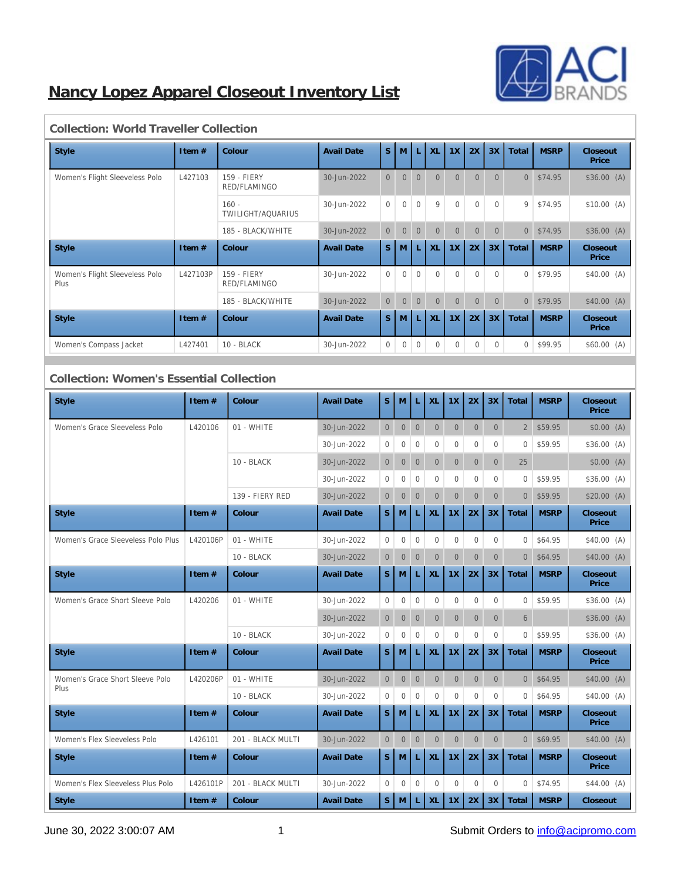

# **Nancy Lopez Apparel Closeout Inventory List**

| ,,,,,,,,,,,,,,,,,,,,,,,,,,,,,          |          |                                    |                         |                |              |              |              |                |              |                |                |             |                   |             |                   |
|----------------------------------------|----------|------------------------------------|-------------------------|----------------|--------------|--------------|--------------|----------------|--------------|----------------|----------------|-------------|-------------------|-------------|-------------------|
| <b>Style</b>                           | Item $#$ | Colour                             | S.<br><b>Avail Date</b> |                |              |              | M            | L              | <b>XL</b>    | 1X             | 2X             | 3X          | Total             | <b>MSRP</b> | Closeout<br>Price |
| Women's Flight Sleeveless Polo         | L427103  | <b>159 - FIERY</b><br>RED/FLAMINGO | 30-Jun-2022             | $\overline{0}$ | $\mathbf{0}$ | $\Omega$     | $\Omega$     | $\Omega$       | $\Omega$     | $\Omega$       | $\overline{0}$ | \$74.95     | \$36.00(A)        |             |                   |
|                                        |          | $160 -$<br>TWILIGHT/AQUARIUS       | 30-Jun-2022             | $\overline{0}$ | $\mathbf{0}$ | $\mathbf{0}$ | 9            | $\mathbf{0}$   | $\mathbf{0}$ | $\mathbf{0}$   | 9              | \$74.95     | \$10.00(A)        |             |                   |
|                                        |          | 185 - BLACK/WHITE                  | 30-Jun-2022             | $\overline{0}$ | $\Omega$     | $\Omega$     | $\Omega$     | $\overline{0}$ | $\Omega$     | $\Omega$       | $\overline{0}$ | \$74.95     | \$36.00(A)        |             |                   |
| <b>Style</b>                           | Item $#$ | Colour                             | <b>Avail Date</b>       | <sub>S</sub>   | M            | L            | XL           | 1X             | 2X           | 3X             | Total          | <b>MSRP</b> | Closeout<br>Price |             |                   |
| Women's Flight Sleeveless Polo<br>Plus | L427103P | <b>159 - FIERY</b><br>RED/FLAMINGO | 30-Jun-2022             | $\mathbf{0}$   | $\mathbf{0}$ | $\Omega$     | $\Omega$     | $\mathbf{0}$   | $\Omega$     | $\Omega$       | $\overline{0}$ | \$79.95     | \$40.00(A)        |             |                   |
|                                        |          | 185 - BLACK/WHITE                  | 30-Jun-2022             | $\overline{0}$ | $\mathbf{0}$ | $\mathbf{0}$ | $\Omega$     | $\overline{0}$ | $\Omega$     | $\overline{0}$ | $\overline{0}$ | \$79.95     | \$40.00(A)        |             |                   |
| <b>Style</b>                           | Item $#$ | Colour                             | <b>Avail Date</b>       | S.             | M            | L            | <b>XL</b>    | 1X             | 2X           | 3X             | Total          | <b>MSRP</b> | Closeout<br>Price |             |                   |
| Women's Compass Jacket                 | L427401  | 10 - BLACK                         | 30-Jun-2022             | $\bf{0}$       | $\bf{0}$     | $\Omega$     | $\mathbf{0}$ | $\bf{0}$       | $\mathbf{0}$ | $\mathbf{0}$   | $\overline{0}$ | \$99.95     | \$60.00(A)        |             |                   |

#### **Collection: World Traveller Collection**

#### **Collection: Women's Essential Collection**

| <b>Style</b>                            | Item $#$ | Colour            | <b>Avail Date</b> | S                | M                | L              | <b>XL</b>    | 1X               | 2X               | 3X             | Total          | <b>MSRP</b> | Closeout<br>Price |
|-----------------------------------------|----------|-------------------|-------------------|------------------|------------------|----------------|--------------|------------------|------------------|----------------|----------------|-------------|-------------------|
| Women's Grace Sleeveless Polo           | L420106  | 01 - WHITE        | 30-Jun-2022       |                  | $\boldsymbol{0}$ | $\mathbf{0}$   | $\mathbf{0}$ | $\mathbf{0}$     | $\mathbf{0}$     | $\mathbf{0}$   | $\sqrt{2}$     | \$59.95     | \$0.00(A)         |
|                                         |          |                   | 30-Jun-2022       | $\mathbf{0}$     | $\mathbf{0}$     | $\mathbf{0}$   | $\mathbf{0}$ | $\mathbf{0}$     | $\mathbf{0}$     | $\mathbf{0}$   | $\mathbf{0}$   | \$59.95     | \$36.00(A)        |
|                                         |          | 10 - BLACK        | 30-Jun-2022       | $\mathbf{0}$     | $\boldsymbol{0}$ | $\mathbf{0}$   | $\mathbf{0}$ | $\overline{0}$   | $\mathbf{0}$     | $\mathbf{0}$   | 25             |             | \$0.00(A)         |
|                                         |          |                   | 30-Jun-2022       | $\mathbf{0}$     | $\boldsymbol{0}$ | $\overline{0}$ | $\Omega$     | $\Omega$         | $\mathbf{0}$     | $\Omega$       | $\Omega$       | \$59.95     | \$36.00(A)        |
|                                         |          | 139 - FIERY RED   | 30-Jun-2022       | $\overline{0}$   | $\mathbf{0}$     | $\overline{0}$ | $\mathbf{0}$ | $\mathbf{0}$     | $\overline{0}$   | $\overline{0}$ | $\Omega$       | \$59.95     | \$20.00(A)        |
| <b>Style</b>                            | Item $#$ | Colour            | <b>Avail Date</b> | S                | M                | L              | <b>XL</b>    | 1X               | 2X               | 3X             | Total          | <b>MSRP</b> | Closeout<br>Price |
| Women's Grace Sleeveless Polo Plus      | L420106P | 01 - WHITE        | 30-Jun-2022       | $\mathbf{0}$     | $\boldsymbol{0}$ | $\mathbf{0}$   | $\mathbf{0}$ | $\mathbf{0}$     | $\mathbf{0}$     | $\Omega$       | $\mathbf{0}$   | \$64.95     | \$40.00(A)        |
|                                         |          | 10 - BLACK        | 30-Jun-2022       | $\mathbf{0}$     | $\mathbf{0}$     | $\overline{0}$ | $\mathbf{0}$ | $\boldsymbol{0}$ | $\overline{0}$   | $\overline{0}$ | $\overline{0}$ | \$64.95     | \$40.00(A)        |
| <b>Style</b>                            | Item $#$ | Colour            | <b>Avail Date</b> | S                | M                | L              | <b>XL</b>    | 1X               | 2X               | 3X             | Total          | <b>MSRP</b> | Closeout<br>Price |
| Women's Grace Short Sleeve Polo         | L420206  | 01 - WHITE        | 30-Jun-2022       | $\overline{0}$   | $\mathbf{0}$     | $\overline{0}$ | $\mathbf{0}$ | $\mathbf{0}$     | $\overline{0}$   | $\Omega$       | $\Omega$       | \$59.95     | \$36.00(A)        |
|                                         |          |                   | 30-Jun-2022       | $\overline{0}$   | $\boldsymbol{0}$ | $\mathbf{0}$   | $\mathbf{0}$ | $\boldsymbol{0}$ | $\boldsymbol{0}$ | $\overline{0}$ | $6\phantom{1}$ |             | \$36.00(A)        |
|                                         |          | 10 - BLACK        | 30-Jun-2022       | $\mathbf{0}$     | $\mathbf{0}$     | $\overline{0}$ | $\Omega$     | $\Omega$         | $\Omega$         | $\Omega$       | $\Omega$       | \$59.95     | \$36.00(A)        |
| <b>Style</b>                            | Item#    | Colour            | <b>Avail Date</b> | S                | M                | L              | <b>XL</b>    | 1X               | 2X               | 3X             | Total          | <b>MSRP</b> | Closeout<br>Price |
| Women's Grace Short Sleeve Polo<br>Plus | L420206P | 01 - WHITE        | 30-Jun-2022       | $\overline{0}$   | $\mathbf{0}$     | $\overline{0}$ | $\mathbf{0}$ | $\mathbf{0}$     | $\overline{0}$   | $\mathbf{0}$   | $\overline{0}$ | \$64.95     | \$40.00(A)        |
|                                         |          | 10 - BLACK        | 30-Jun-2022       | $\boldsymbol{0}$ | $\boldsymbol{0}$ | $\mathbf{0}$   | $\Omega$     | $\Omega$         | $\Omega$         | $\Omega$       | $\Omega$       | \$64.95     | \$40.00(A)        |
| <b>Style</b>                            | Item#    | Colour            | <b>Avail Date</b> | S                | M                | L              | <b>XL</b>    | 1X               | 2X               | 3X             | Total          | <b>MSRP</b> | Closeout<br>Price |
| Women's Flex Sleeveless Polo            | L426101  | 201 - BLACK MULTI | 30-Jun-2022       | $\overline{0}$   | $\mathbf{0}$     | $\overline{0}$ | $\mathbf{0}$ | $\overline{0}$   | $\mathbf{0}$     | $\overline{0}$ | $\Omega$       | \$69.95     | \$40.00(A)        |
| <b>Style</b>                            | Item $#$ | Colour            | <b>Avail Date</b> | S                | M                | L              | XL           | 1X               | 2X               | 3X             | Total          | <b>MSRP</b> | Closeout<br>Price |
| Women's Flex Sleeveless Plus Polo       | L426101P | 201 - BLACK MULTI | 30-Jun-2022       | $\overline{0}$   | $\mathbf{0}$     | $\overline{0}$ | $\mathbf{0}$ | $\mathbf{0}$     | $\overline{0}$   | $\mathbf{0}$   | $\mathbf{0}$   | \$74.95     | \$44.00(A)        |
| <b>Style</b>                            | Item #   | Colour            | <b>Avail Date</b> | S.               | M                | L              | XL           | 1X               | 2X               | 3X             | Total          | <b>MSRP</b> | Closeout          |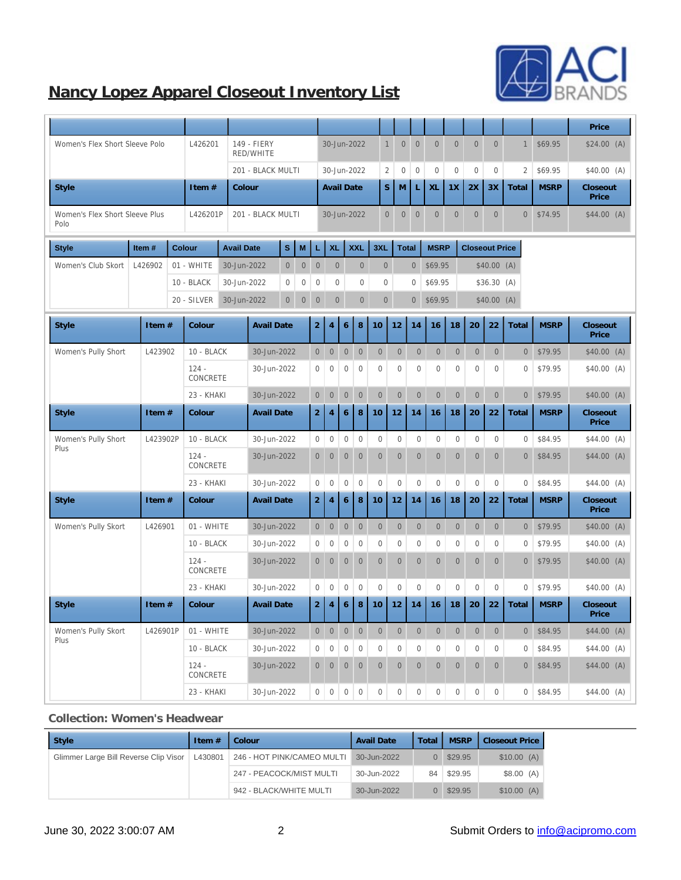

# **Nancy Lopez Apparel Closeout Inventory List**

|                                        |          |                            |                                 |                  |                  |                  |                         |                  |                  |                  |                                      |                  |                  |                       |                  |                  |                  |             | Price             |
|----------------------------------------|----------|----------------------------|---------------------------------|------------------|------------------|------------------|-------------------------|------------------|------------------|------------------|--------------------------------------|------------------|------------------|-----------------------|------------------|------------------|------------------|-------------|-------------------|
| Women's Flex Short Sleeve Polo         |          | L426201                    | 149 - FIERY<br><b>RED/WHITE</b> |                  |                  |                  |                         |                  | 30-Jun-2022      |                  | $\mathbf{1}$<br>$\boldsymbol{0}$     | $\mathbf{0}$     | $\mathbf{0}$     | $\boldsymbol{0}$      | $\mathbf{0}$     | $\mathbf{0}$     | $\mathbf{1}$     | \$69.95     | \$24.00(A)        |
|                                        |          |                            | 201 - BLACK MULTI               |                  |                  |                  |                         |                  | 30-Jun-2022      |                  | $\boldsymbol{2}$<br>$\boldsymbol{0}$ | $\mathbf{0}$     | $\bf{0}$         | $\boldsymbol{0}$      | $\boldsymbol{0}$ | $\bf{0}$         | $\boldsymbol{2}$ | \$69.95     | \$40.00(A)        |
| <b>Style</b>                           |          | Item #                     | Colour                          |                  |                  |                  | <b>Avail Date</b>       |                  |                  |                  | S<br>M                               | L                | XL               | 1X                    | 2X               | 3X               | Total            | <b>MSRP</b> | Closeout<br>Price |
| Women's Flex Short Sleeve Plus<br>Polo |          | L426201P                   | 201 - BLACK MULTI               |                  |                  |                  |                         |                  | 30-Jun-2022      |                  | $\overline{0}$<br>$\mathbf{0}$       | $\mathbf{0}$     | $\mathbf{0}$     | $\mathbf{0}$          | $\mathbf{0}$     | $\boldsymbol{0}$ | $\overline{0}$   | \$74.95     | $$44.00$ (A)      |
| <b>Style</b>                           | Item#    | <b>Colour</b>              | <b>Avail Date</b>               | $\mathbf s$      | M                | L                | <b>XL</b><br><b>XXL</b> |                  | 3XL              |                  | <b>Total</b><br><b>MSRP</b>          |                  |                  | <b>Closeout Price</b> |                  |                  |                  |             |                   |
| Women's Club Skort                     | L426902  | 01 - WHITE                 | 30-Jun-2022                     | $\mathbf{0}$     | $\boldsymbol{0}$ | $\boldsymbol{0}$ | $\mathbf{0}$            |                  | $\mathbf{0}$     |                  | $\mathbf{0}$                         | $\mathbf{0}$     | \$69.95          |                       |                  | \$40.00(A)       |                  |             |                   |
|                                        |          | 10 - BLACK                 | 30-Jun-2022                     | $\boldsymbol{0}$ | $\boldsymbol{0}$ | $\boldsymbol{0}$ | $\mathbf{0}$            | $\boldsymbol{0}$ |                  |                  | $\mathbf{0}$                         | $\mathbf{0}$     | \$69.95          |                       |                  | \$36.30 (A)      |                  |             |                   |
|                                        |          | 20 - SILVER                | 30-Jun-2022<br>$\overline{0}$   |                  | $\boldsymbol{0}$ | $\boldsymbol{0}$ | $\boldsymbol{0}$        |                  | $\boldsymbol{0}$ |                  | $\mathbf{0}$                         | $\boldsymbol{0}$ | \$69.95          |                       |                  | \$40.00(A)       |                  |             |                   |
| <b>Style</b>                           | Item #   | Colour                     | <b>Avail Date</b>               |                  |                  | $\boldsymbol{2}$ | $\overline{4}$          | $\,6\,$          | $\bf 8$          | 10               | 12                                   | 14               | 16               | 18                    | 20               | 22               | Total            | <b>MSRP</b> | Closeout<br>Price |
| Women's Pully Short                    | L423902  | 10 - BLACK                 | 30-Jun-2022                     |                  |                  | $\mathbf{0}$     | $\boldsymbol{0}$        | $\boldsymbol{0}$ | $\boldsymbol{0}$ | $\boldsymbol{0}$ | $\mathbf{0}$                         | $\boldsymbol{0}$ | $\boldsymbol{0}$ | $\boldsymbol{0}$      | $\mathbf{0}$     | $\mathbf{0}$     | $\overline{0}$   | \$79.95     | \$40.00(A)        |
|                                        |          | $124 -$<br><b>CONCRETE</b> | 30-Jun-2022                     |                  |                  | $\bf{0}$         | $\mathbf{0}$            | $\boldsymbol{0}$ | $\mathbf{0}$     | $\bf{0}$         | $\boldsymbol{0}$                     | $\bf{0}$         | $\mathbf{0}$     | $\bf{0}$              | $\boldsymbol{0}$ | $\bf{0}$         | $\boldsymbol{0}$ | \$79.95     | \$40.00(A)        |
|                                        |          | 23 - KHAKI                 | 30-Jun-2022                     |                  |                  | $\boldsymbol{0}$ | $\boldsymbol{0}$        | $\boldsymbol{0}$ | $\boldsymbol{0}$ | $\boldsymbol{0}$ | $\overline{0}$                       | $\boldsymbol{0}$ | $\boldsymbol{0}$ | $\boldsymbol{0}$      | $\boldsymbol{0}$ | $\boldsymbol{0}$ | $\overline{0}$   | \$79.95     | \$40.00(A)        |
| <b>Style</b>                           | Item #   | Colour                     | <b>Avail Date</b>               |                  |                  | $\boldsymbol{2}$ | $\overline{4}$          | 6                | 8                | 10               | 12                                   | 14               | 16               | 18                    | 20               | 22               | Total            | <b>MSRP</b> | Closeout<br>Price |
| Women's Pully Short<br>Plus            | L423902P | 10 - BLACK                 | 30-Jun-2022                     |                  |                  | $\boldsymbol{0}$ | $\boldsymbol{0}$        | $\boldsymbol{0}$ | $\mathbf{0}$     | $\mathbf{0}$     | $\boldsymbol{0}$                     | $\mathbf{0}$     | $\mathbf{0}$     | $\mathbf{0}$          | $\mathbf{0}$     | $\bf{0}$         | $\boldsymbol{0}$ | \$84.95     | $$44.00$ (A)      |
|                                        |          | $124 -$<br><b>CONCRETE</b> | 30-Jun-2022                     |                  |                  | $\boldsymbol{0}$ | $\boldsymbol{0}$        | $\boldsymbol{0}$ | $\boldsymbol{0}$ | $\mathbf{0}$     | $\boldsymbol{0}$                     | $\mathbf{0}$     | $\boldsymbol{0}$ | $\overline{0}$        | $\mathbf{0}$     | $\mathbf{0}$     | $\overline{0}$   | \$84.95     | \$44.00 (A)       |
|                                        |          | 23 - KHAKI                 | 30-Jun-2022                     |                  |                  | $\mathbf{0}$     | $\boldsymbol{0}$        | $\boldsymbol{0}$ | $\mathbf{0}$     | $\mathbf{0}$     | $\mathbf{0}$                         | $\mathbf{0}$     | $\mathbf{0}$     | $\mathbf{0}$          | $\mathbf{0}$     | $\bf{0}$         | $\boldsymbol{0}$ | \$84.95     | \$44.00 (A)       |
| <b>Style</b>                           | Item #   | Colour                     | <b>Avail Date</b>               |                  |                  | $\boldsymbol{2}$ | $\overline{4}$          | $6\phantom{1}$   | $\bf8$           | 10               | 12                                   | 14               | 16               | 18                    | 20               | 22               | Total            | <b>MSRP</b> | Closeout<br>Price |
| Women's Pully Skort                    | L426901  | 01 - WHITE                 | 30-Jun-2022                     |                  |                  | $\boldsymbol{0}$ | $\boldsymbol{0}$        | $\boldsymbol{0}$ | $\boldsymbol{0}$ | $\boldsymbol{0}$ | $\boldsymbol{0}$                     | $\boldsymbol{0}$ | $\boldsymbol{0}$ | $\overline{0}$        | $\overline{0}$   | $\boldsymbol{0}$ | $\overline{0}$   | \$79.95     | \$40.00(A)        |
|                                        |          | 10 - BLACK                 | 30-Jun-2022                     |                  |                  | $\boldsymbol{0}$ | $\boldsymbol{0}$        | $\boldsymbol{0}$ | $\boldsymbol{0}$ | $\bf{0}$         | $\bf{0}$                             | $\boldsymbol{0}$ | $\boldsymbol{0}$ | $\boldsymbol{0}$      | $\bf{0}$         | $\bf{0}$         | $\boldsymbol{0}$ | \$79.95     | \$40.00(A)        |
|                                        |          | $124 -$<br><b>CONCRETE</b> | 30-Jun-2022                     |                  |                  | $\mathbf{0}$     | $\mathbf{0}$            | $\mathbf{0}$     | $\mathbf{0}$     | $\overline{0}$   | $\overline{0}$                       | $\mathbf{0}$     | $\mathbf{0}$     | $\overline{0}$        | $\overline{0}$   | $\mathbf{0}$     | $\overline{0}$   | \$79.95     | \$40.00(A)        |
|                                        |          | 23 - KHAKI                 | 30-Jun-2022                     |                  |                  | $\boldsymbol{0}$ | $\boldsymbol{0}$        | $\boldsymbol{0}$ | $\mathbf{0}$     | $\bf{0}$         | 0                                    | $\mathbf{0}$     | $\mathbf{0}$     | $\boldsymbol{0}$      | $\boldsymbol{0}$ | $\boldsymbol{0}$ | $\boldsymbol{0}$ | \$79.95     | \$40.00(A)        |
| <b>Style</b>                           | Item #   | Colour                     | <b>Avail Date</b>               |                  |                  | $\boldsymbol{2}$ | $\overline{4}$          | $\,6\,$          | $\bf 8$          | 10               | 12                                   | 14               | 16               | 18                    | 20               | 22               | Total            | <b>MSRP</b> | Closeout<br>Price |
| Women's Pully Skort<br>Plus            | L426901P | 01 - WHITE                 | 30-Jun-2022                     |                  |                  | $\boldsymbol{0}$ | $\boldsymbol{0}$        | $\boldsymbol{0}$ | $\boldsymbol{0}$ | $\boldsymbol{0}$ | $\boldsymbol{0}$                     | $\boldsymbol{0}$ | $\boldsymbol{0}$ | $\boldsymbol{0}$      | $\boldsymbol{0}$ | $\mathbf{0}$     | $\overline{0}$   | \$84.95     | \$44.00(A)        |
|                                        |          | 10 - BLACK                 | 30-Jun-2022                     |                  |                  | $\boldsymbol{0}$ | $\boldsymbol{0}$        | $\boldsymbol{0}$ | $\mathbf{0}$     | $\boldsymbol{0}$ | $\boldsymbol{0}$                     | $\boldsymbol{0}$ | $\boldsymbol{0}$ | $\boldsymbol{0}$      | $\boldsymbol{0}$ | $\boldsymbol{0}$ | $\boldsymbol{0}$ | \$84.95     | \$44.00 (A)       |
|                                        |          | $124 -$<br>CONCRETE        | 30-Jun-2022                     |                  |                  | $\mathbf{0}$     | $\mathbf{0}$            | $\boldsymbol{0}$ | $\mathbf{0}$     | $\mathbf{0}$     | $\boldsymbol{0}$                     | $\boldsymbol{0}$ | $\boldsymbol{0}$ | $\mathbf{0}$          | $\boldsymbol{0}$ | $\mathbf{0}$     | $\overline{0}$   | \$84.95     | \$44.00 (A)       |
|                                        |          | 23 - KHAKI                 | 30-Jun-2022                     |                  |                  | $\boldsymbol{0}$ | $\,0\,$                 | $\boldsymbol{0}$ | $\boldsymbol{0}$ | $\boldsymbol{0}$ | $\boldsymbol{0}$                     | $\boldsymbol{0}$ | $\boldsymbol{0}$ | $\boldsymbol{0}$      | $\boldsymbol{0}$ | $\boldsymbol{0}$ | $\overline{0}$   | \$84.95     | $$44.00$ (A)      |

#### **Collection: Women's Headwear**

| Style                                 | Item $#$ | Colour                     | <b>Avail Date</b> | Total    | <b>MSRP</b> | <b>Closeout Price</b> |
|---------------------------------------|----------|----------------------------|-------------------|----------|-------------|-----------------------|
| Glimmer Large Bill Reverse Clip Visor | L430801  | 246 - HOT PINK/CAMEO MULTI | 30-Jun-2022       | 0        | \$29.95     | \$10.00(A)            |
|                                       |          | 247 - PEACOCK/MIST MULTI   | 30-Jun-2022       |          | 84 \$29.95  | \$8.00(A)             |
|                                       |          | 942 - BLACK/WHITE MULTI    | 30-Jun-2022       | $\Omega$ | \$29.95     | \$10.00(A)            |